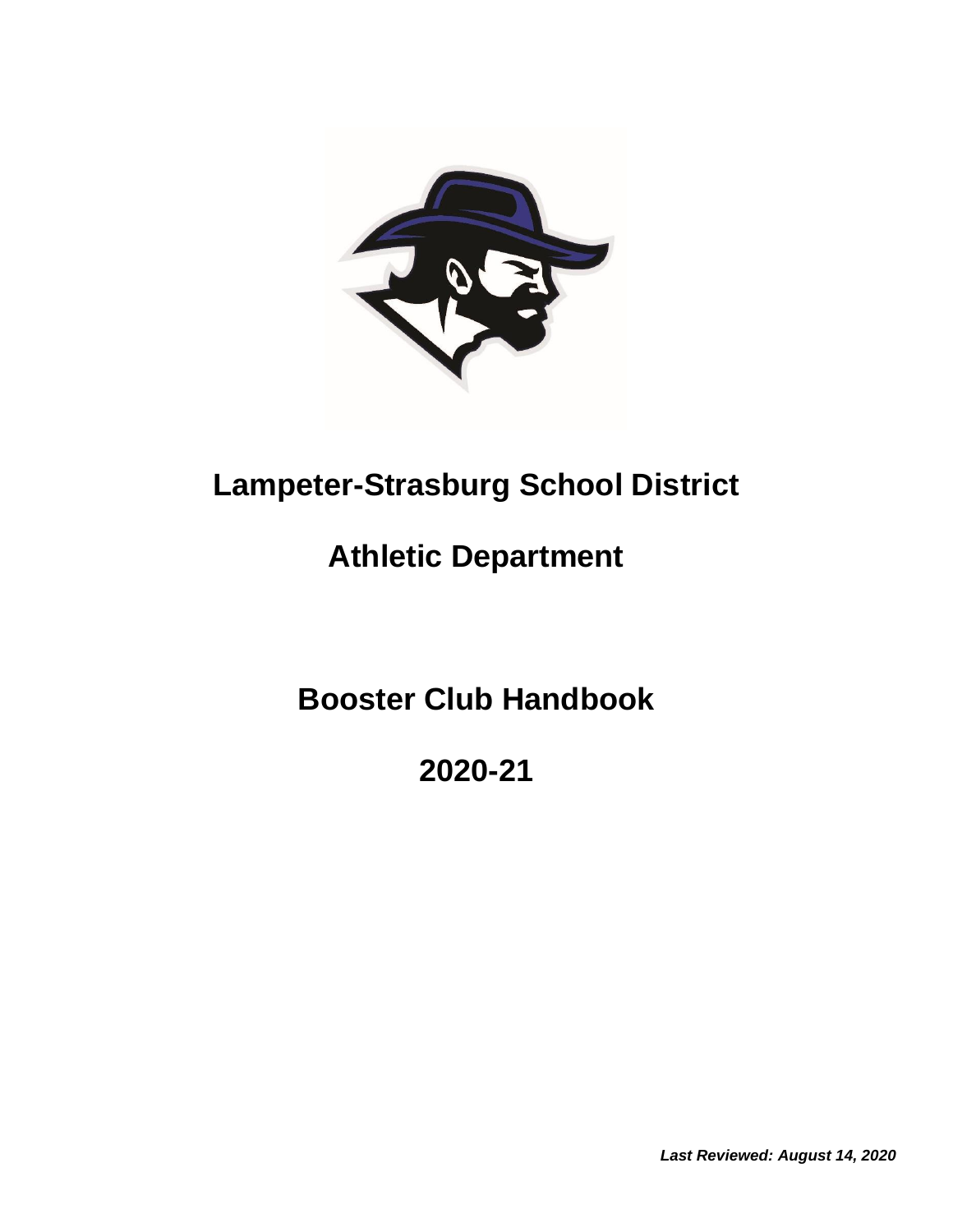

# **Lampeter-Strasburg School District**

# **Athletic Department**

**Booster Club Handbook**

**2020-21**

*Last Reviewed: August 14, 2020*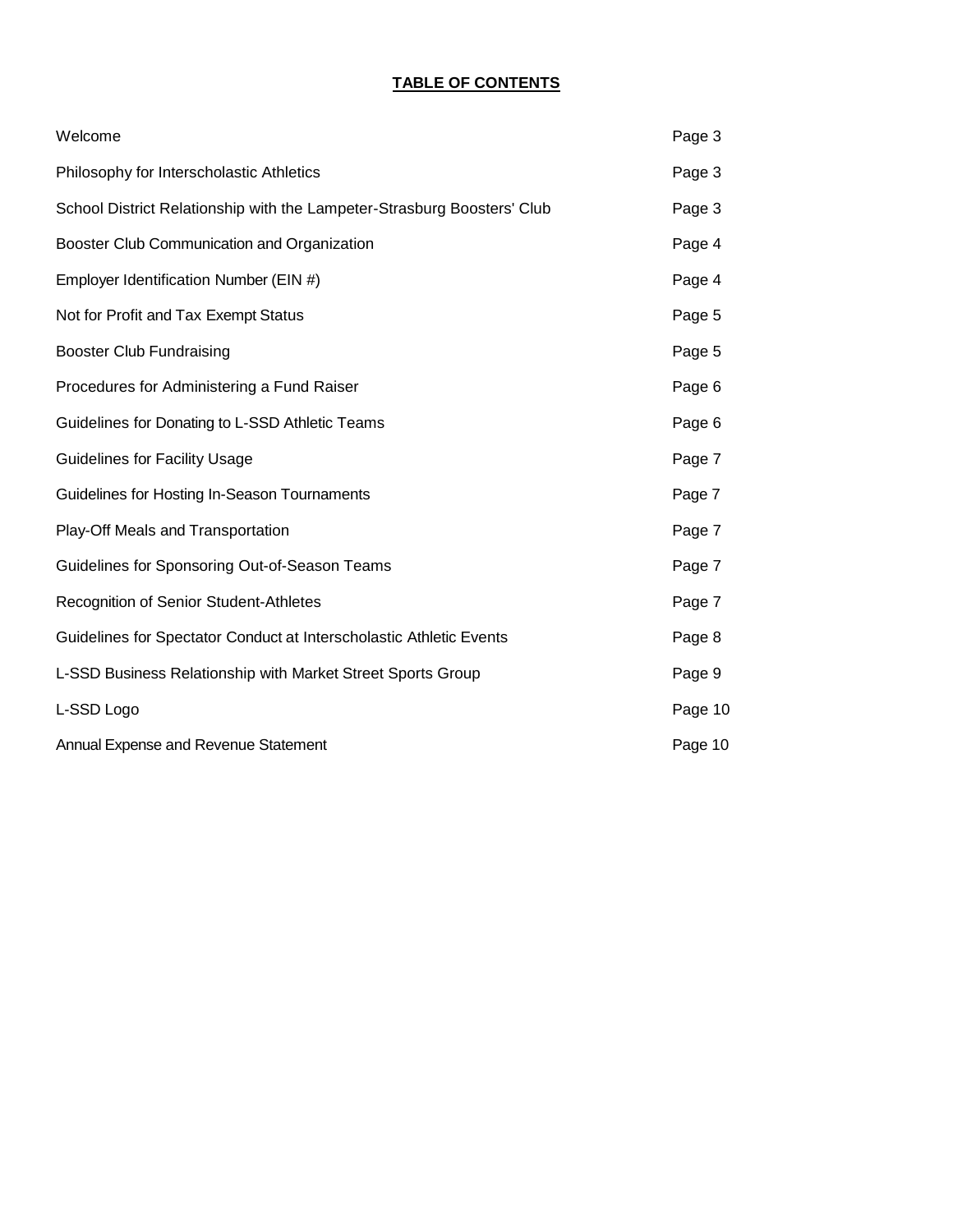## **TABLE OF CONTENTS**

| Welcome                                                                 | Page 3  |
|-------------------------------------------------------------------------|---------|
| Philosophy for Interscholastic Athletics                                | Page 3  |
| School District Relationship with the Lampeter-Strasburg Boosters' Club | Page 3  |
| Booster Club Communication and Organization                             | Page 4  |
| Employer Identification Number (EIN #)                                  | Page 4  |
| Not for Profit and Tax Exempt Status                                    | Page 5  |
| <b>Booster Club Fundraising</b>                                         | Page 5  |
| Procedures for Administering a Fund Raiser                              | Page 6  |
| Guidelines for Donating to L-SSD Athletic Teams                         | Page 6  |
| <b>Guidelines for Facility Usage</b>                                    | Page 7  |
| Guidelines for Hosting In-Season Tournaments                            | Page 7  |
| Play-Off Meals and Transportation                                       | Page 7  |
| Guidelines for Sponsoring Out-of-Season Teams                           | Page 7  |
| Recognition of Senior Student-Athletes                                  | Page 7  |
| Guidelines for Spectator Conduct at Interscholastic Athletic Events     | Page 8  |
| L-SSD Business Relationship with Market Street Sports Group             | Page 9  |
| L-SSD Logo                                                              | Page 10 |
| Annual Expense and Revenue Statement                                    | Page 10 |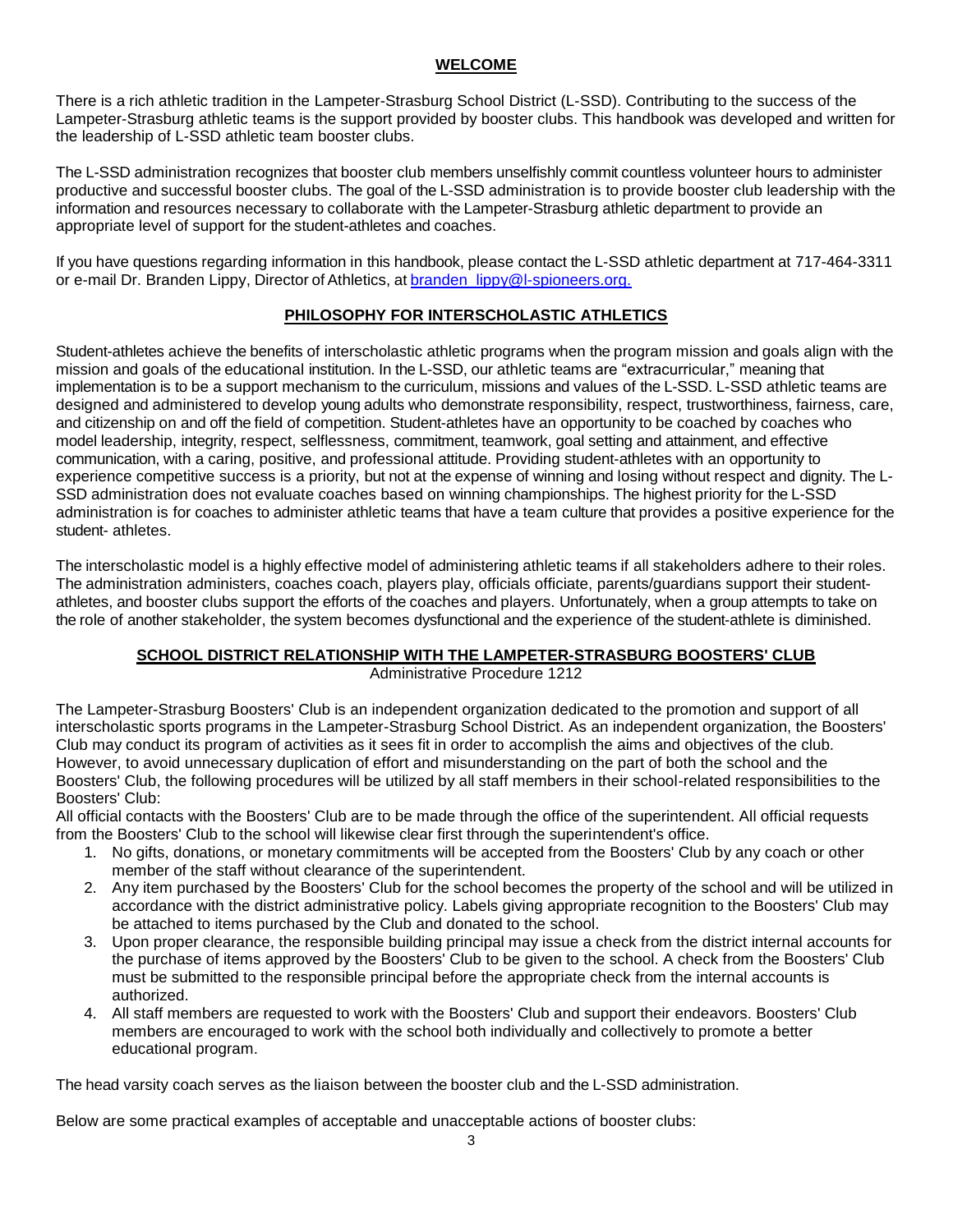## **WELCOME**

There is a rich athletic tradition in the Lampeter-Strasburg School District (L-SSD). Contributing to the success of the Lampeter-Strasburg athletic teams is the support provided by booster clubs. This handbook was developed and written for the leadership of L-SSD athletic team booster clubs.

The L-SSD administration recognizes that booster club members unselfishly commit countless volunteer hours to administer productive and successful booster clubs. The goal of the L-SSD administration is to provide booster club leadership with the information and resources necessary to collaborate with the Lampeter-Strasburg athletic department to provide an appropriate level of support for the student-athletes and coaches.

If you have questions regarding information in this handbook, please contact the L-SSD athletic department at 717-464-3311 or e-mail Dr. Branden Lippy, Director of Athletics, at [branden\\_lippy@l-spioneers.org.](mailto:branden_lippy@l-spioneers.org.)

# **PHILOSOPHY FOR INTERSCHOLASTIC ATHLETICS**

Student-athletes achieve the benefits of interscholastic athletic programs when the program mission and goals align with the mission and goals of the educational institution. In the L-SSD, our athletic teams are "extracurricular," meaning that implementation is to be a support mechanism to the curriculum, missions and values of the L-SSD. L-SSD athletic teams are designed and administered to develop young adults who demonstrate responsibility, respect, trustworthiness, fairness, care, and citizenship on and off the field of competition. Student-athletes have an opportunity to be coached by coaches who model leadership, integrity, respect, selflessness, commitment, teamwork, goal setting and attainment, and effective communication, with a caring, positive, and professional attitude. Providing student-athletes with an opportunity to experience competitive success is a priority, but not at the expense of winning and losing without respect and dignity. The L-SSD administration does not evaluate coaches based on winning championships. The highest priority for the L-SSD administration is for coaches to administer athletic teams that have a team culture that provides a positive experience for the student- athletes.

The interscholastic model is a highly effective model of administering athletic teams if all stakeholders adhere to their roles. The administration administers, coaches coach, players play, officials officiate, parents/guardians support their studentathletes, and booster clubs support the efforts of the coaches and players. Unfortunately, when a group attempts to take on the role of another stakeholder, the system becomes dysfunctional and the experience of the student-athlete is diminished.

# **SCHOOL DISTRICT RELATIONSHIP WITH THE LAMPETER-STRASBURG BOOSTERS' CLUB**

Administrative Procedure 1212

The Lampeter-Strasburg Boosters' Club is an independent organization dedicated to the promotion and support of all interscholastic sports programs in the Lampeter-Strasburg School District. As an independent organization, the Boosters' Club may conduct its program of activities as it sees fit in order to accomplish the aims and objectives of the club. However, to avoid unnecessary duplication of effort and misunderstanding on the part of both the school and the Boosters' Club, the following procedures will be utilized by all staff members in their school-related responsibilities to the Boosters' Club:

All official contacts with the Boosters' Club are to be made through the office of the superintendent. All official requests from the Boosters' Club to the school will likewise clear first through the superintendent's office.

- 1. No gifts, donations, or monetary commitments will be accepted from the Boosters' Club by any coach or other member of the staff without clearance of the superintendent.
- 2. Any item purchased by the Boosters' Club for the school becomes the property of the school and will be utilized in accordance with the district administrative policy. Labels giving appropriate recognition to the Boosters' Club may be attached to items purchased by the Club and donated to the school.
- 3. Upon proper clearance, the responsible building principal may issue a check from the district internal accounts for the purchase of items approved by the Boosters' Club to be given to the school. A check from the Boosters' Club must be submitted to the responsible principal before the appropriate check from the internal accounts is authorized.
- 4. All staff members are requested to work with the Boosters' Club and support their endeavors. Boosters' Club members are encouraged to work with the school both individually and collectively to promote a better educational program.

The head varsity coach serves as the liaison between the booster club and the L-SSD administration.

Below are some practical examples of acceptable and unacceptable actions of booster clubs: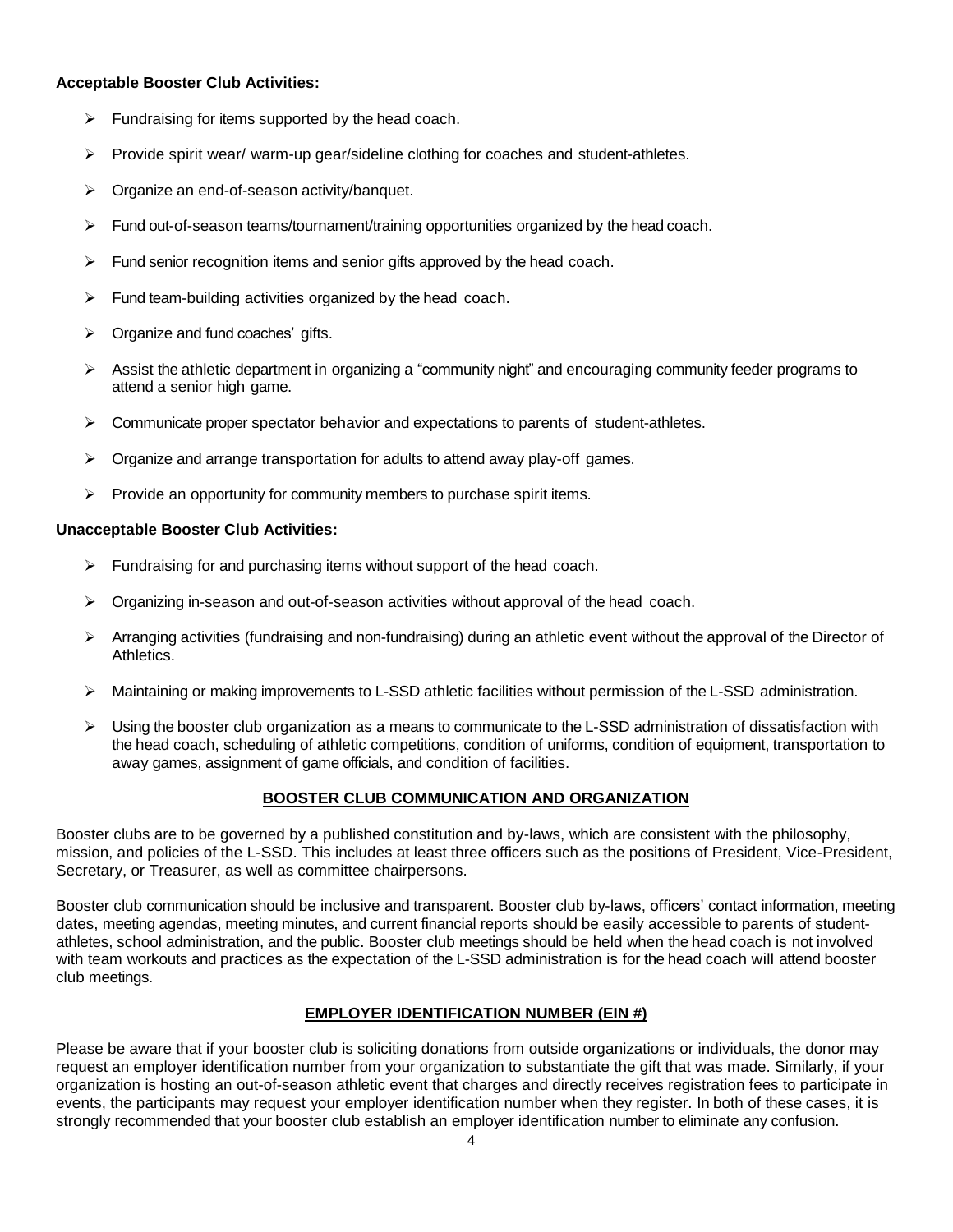#### **Acceptable Booster Club Activities:**

- $\triangleright$  Fundraising for items supported by the head coach.
- Provide spirit wear/ warm-up gear/sideline clothing for coaches and student-athletes.
- ▶ Organize an end-of-season activity/banquet.
- $\triangleright$  Fund out-of-season teams/tournament/training opportunities organized by the head coach.
- $\triangleright$  Fund senior recognition items and senior gifts approved by the head coach.
- $\triangleright$  Fund team-building activities organized by the head coach.
- Organize and fund coaches' gifts.
- $\triangleright$  Assist the athletic department in organizing a "community night" and encouraging community feeder programs to attend a senior high game.
- $\triangleright$  Communicate proper spectator behavior and expectations to parents of student-athletes.
- $\triangleright$  Organize and arrange transportation for adults to attend away play-off games.
- $\triangleright$  Provide an opportunity for community members to purchase spirit items.

#### **Unacceptable Booster Club Activities:**

- $\triangleright$  Fundraising for and purchasing items without support of the head coach.
- Organizing in-season and out-of-season activities without approval of the head coach.
- $\triangleright$  Arranging activities (fundraising and non-fundraising) during an athletic event without the approval of the Director of Athletics.
- Maintaining or making improvements to L-SSD athletic facilities without permission of the L-SSD administration.
- Using the booster club organization as a means to communicate to the L-SSD administration of dissatisfaction with the head coach, scheduling of athletic competitions, condition of uniforms, condition of equipment, transportation to away games, assignment of game officials, and condition of facilities.

#### **BOOSTER CLUB COMMUNICATION AND ORGANIZATION**

Booster clubs are to be governed by a published constitution and by-laws, which are consistent with the philosophy, mission, and policies of the L-SSD. This includes at least three officers such as the positions of President, Vice-President, Secretary, or Treasurer, as well as committee chairpersons.

Booster club communication should be inclusive and transparent. Booster club by-laws, officers' contact information, meeting dates, meeting agendas, meeting minutes, and current financial reports should be easily accessible to parents of studentathletes, school administration, and the public. Booster club meetings should be held when the head coach is not involved with team workouts and practices as the expectation of the L-SSD administration is for the head coach will attend booster club meetings.

## **EMPLOYER IDENTIFICATION NUMBER (EIN #)**

Please be aware that if your booster club is soliciting donations from outside organizations or individuals, the donor may request an employer identification number from your organization to substantiate the gift that was made. Similarly, if your organization is hosting an out-of-season athletic event that charges and directly receives registration fees to participate in events, the participants may request your employer identification number when they register. In both of these cases, it is strongly recommended that your booster club establish an employer identification number to eliminate any confusion.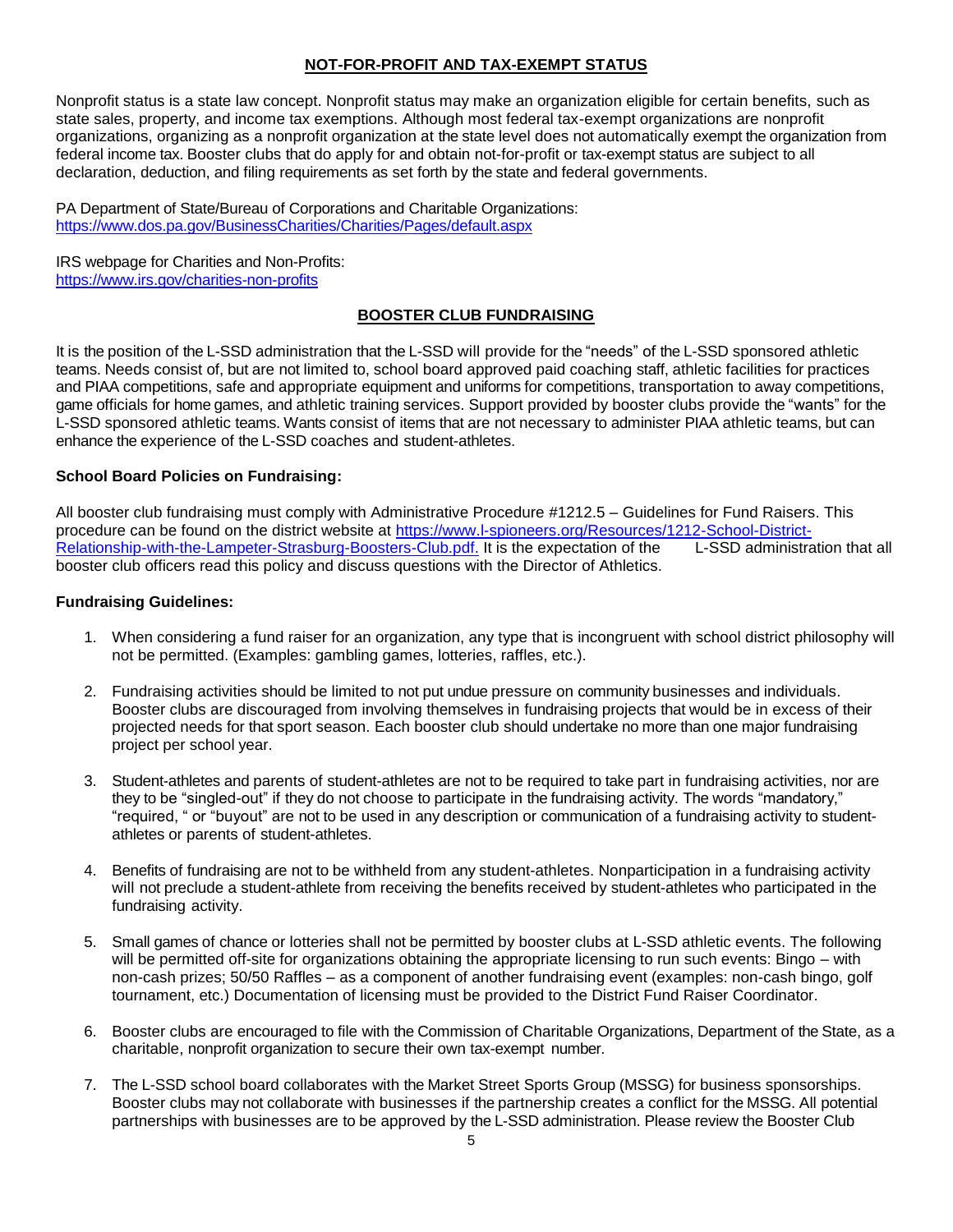### **NOT-FOR-PROFIT AND TAX-EXEMPT STATUS**

Nonprofit status is a state law concept. Nonprofit status may make an organization eligible for certain benefits, such as state sales, property, and income tax exemptions. Although most federal tax-exempt organizations are nonprofit organizations, organizing as a nonprofit organization at the state level does not automatically exempt the organization from federal income tax. Booster clubs that do apply for and obtain not-for-profit or tax-exempt status are subject to all declaration, deduction, and filing requirements as set forth by the state and federal governments.

PA Department of State/Bureau of Corporations and Charitable Organizations: <https://www.dos.pa.gov/BusinessCharities/Charities/Pages/default.aspx>

IRS webpage for Charities and Non-Profits: <https://www.irs.gov/charities-non-profits>

#### **BOOSTER CLUB FUNDRAISING**

It is the position of the L-SSD administration that the L-SSD will provide for the "needs" of the L-SSD sponsored athletic teams. Needs consist of, but are not limited to, school board approved paid coaching staff, athletic facilities for practices and PIAA competitions, safe and appropriate equipment and uniforms for competitions, transportation to away competitions, game officials for home games, and athletic training services. Support provided by booster clubs provide the "wants" for the L-SSD sponsored athletic teams. Wants consist of items that are not necessary to administer PIAA athletic teams, but can enhance the experience of the L-SSD coaches and student-athletes.

#### **School Board Policies on Fundraising:**

All booster club fundraising must comply with Administrative Procedure #1212.5 – Guidelines for Fund Raisers. This procedure can be found on the district website at https://www.l-spioneers.org/Resources/1212-School-District-<br>Relationship-with-the-Lampeter-Strasburg-Boosters-Club.pdf. It is the expectation of the L-SSD administration th [Relationship-with-the-Lampeter-Strasburg-Boosters-Club.pdf.](https://www.l-spioneers.org/Resources/1212-School-District-Relationship-with-the-Lampeter-Strasburg-Boosters-Club.pdf) It is the expectation of the booster club officers read this policy and discuss questions with the Director of Athletics.

#### **Fundraising Guidelines:**

- 1. When considering a fund raiser for an organization, any type that is incongruent with school district philosophy will not be permitted. (Examples: gambling games, lotteries, raffles, etc.).
- 2. Fundraising activities should be limited to not put undue pressure on community businesses and individuals. Booster clubs are discouraged from involving themselves in fundraising projects that would be in excess of their projected needs for that sport season. Each booster club should undertake no more than one major fundraising project per school year.
- 3. Student-athletes and parents of student-athletes are not to be required to take part in fundraising activities, nor are they to be "singled-out" if they do not choose to participate in the fundraising activity. The words "mandatory," "required, " or "buyout" are not to be used in any description or communication of a fundraising activity to studentathletes or parents of student-athletes.
- 4. Benefits of fundraising are not to be withheld from any student-athletes. Nonparticipation in a fundraising activity will not preclude a student-athlete from receiving the benefits received by student-athletes who participated in the fundraising activity.
- 5. Small games of chance or lotteries shall not be permitted by booster clubs at L-SSD athletic events. The following will be permitted off-site for organizations obtaining the appropriate licensing to run such events: Bingo – with non-cash prizes; 50/50 Raffles – as a component of another fundraising event (examples: non-cash bingo, golf tournament, etc.) Documentation of licensing must be provided to the District Fund Raiser Coordinator.
- 6. Booster clubs are encouraged to file with the Commission of Charitable Organizations, Department of the State, as a charitable, nonprofit organization to secure their own tax-exempt number.
- 7. The L-SSD school board collaborates with the Market Street Sports Group (MSSG) for business sponsorships. Booster clubs may not collaborate with businesses if the partnership creates a conflict for the MSSG. All potential partnerships with businesses are to be approved by the L-SSD administration. Please review the Booster Club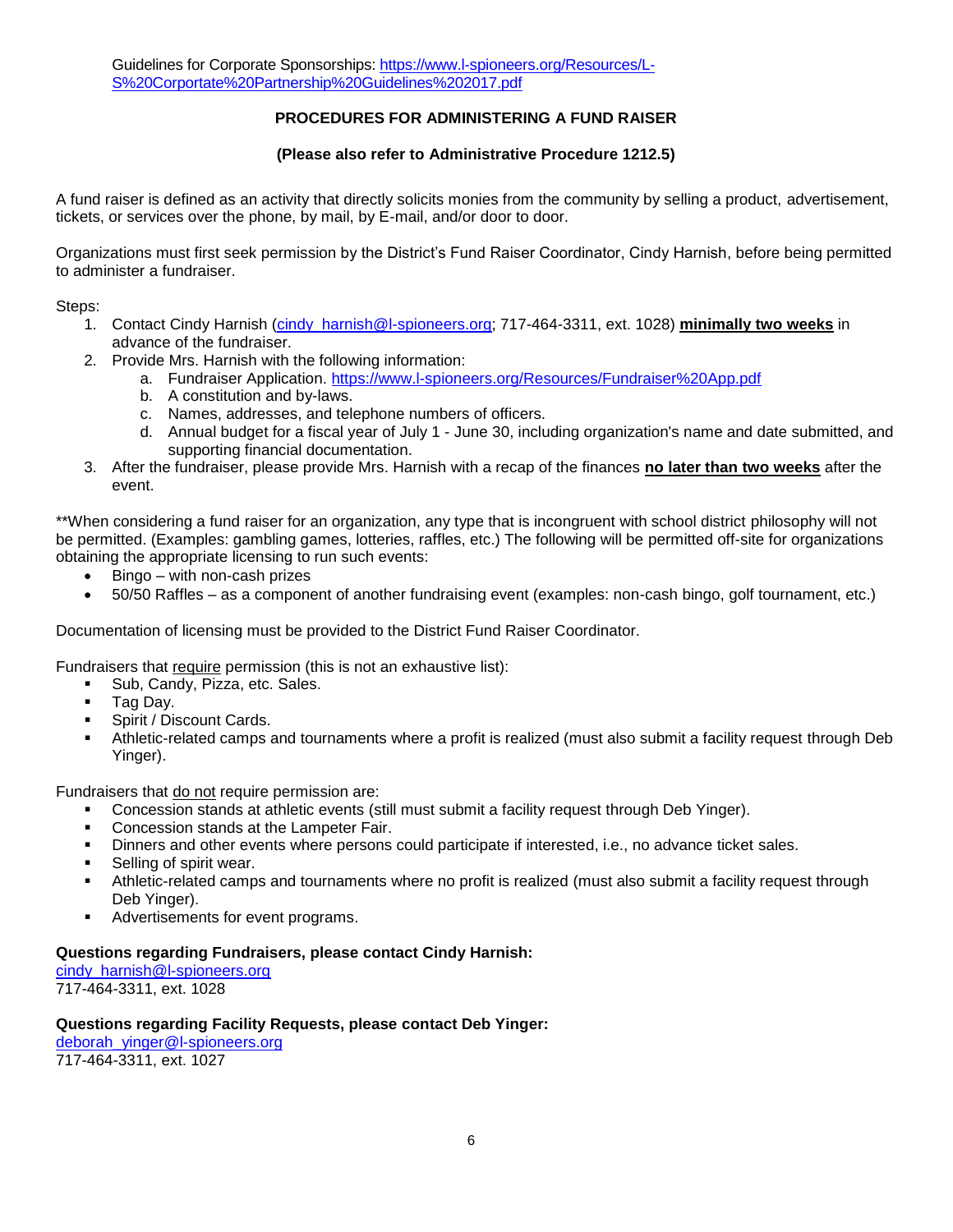# **PROCEDURES FOR ADMINISTERING A FUND RAISER**

#### **(Please also refer to Administrative Procedure 1212.5)**

A fund raiser is defined as an activity that directly solicits monies from the community by selling a product, advertisement, tickets, or services over the phone, by mail, by E-mail, and/or door to door.

Organizations must first seek permission by the District's Fund Raiser Coordinator, Cindy Harnish, before being permitted to administer a fundraiser.

Steps:

- 1. Contact Cindy Harnish [\(cindy\\_harnish@l-spioneers.org;](mailto:cindy_harnish@l-spioneers.org) 717-464-3311, ext. 1028) **minimally two weeks** in advance of the fundraiser.
- 2. Provide Mrs. Harnish with the following information:
	- a. Fundraiser Application. <https://www.l-spioneers.org/Resources/Fundraiser%20App.pdf>
	- b. A constitution and by-laws.
	- c. Names, addresses, and telephone numbers of officers.
	- d. Annual budget for a fiscal year of July 1 June 30, including organization's name and date submitted, and supporting financial documentation.
- 3. After the fundraiser, please provide Mrs. Harnish with a recap of the finances **no later than two weeks** after the event.

\*\*When considering a fund raiser for an organization, any type that is incongruent with school district philosophy will not be permitted. (Examples: gambling games, lotteries, raffles, etc.) The following will be permitted off-site for organizations obtaining the appropriate licensing to run such events:

- $\bullet$  Bingo with non-cash prizes
- 50/50 Raffles as a component of another fundraising event (examples: non-cash bingo, golf tournament, etc.)

Documentation of licensing must be provided to the District Fund Raiser Coordinator.

Fundraisers that require permission (this is not an exhaustive list):

- Sub, Candy, Pizza, etc. Sales.
- Tag Day.
- **Spirit / Discount Cards.**
- Athletic-related camps and tournaments where a profit is realized (must also submit a facility request through Deb Yinger).

Fundraisers that do not require permission are:

- Concession stands at athletic events (still must submit a facility request through Deb Yinger).
- Concession stands at the Lampeter Fair.
- Dinners and other events where persons could participate if interested, i.e., no advance ticket sales.
- Selling of spirit wear.
- Athletic-related camps and tournaments where no profit is realized (must also submit a facility request through Deb Yinger).
- Advertisements for event programs.

#### **Questions regarding Fundraisers, please contact Cindy Harnish:**

[cindy\\_harnish@l-spioneers.org](mailto:cindy_harnish@l-spioneers.org) 717-464-3311, ext. 1028

# **Questions regarding Facility Requests, please contact Deb Yinger:**

[deborah\\_yinger@l-spioneers.org](mailto:deborah_yinger@l-spioneers.org) 717-464-3311, ext. 1027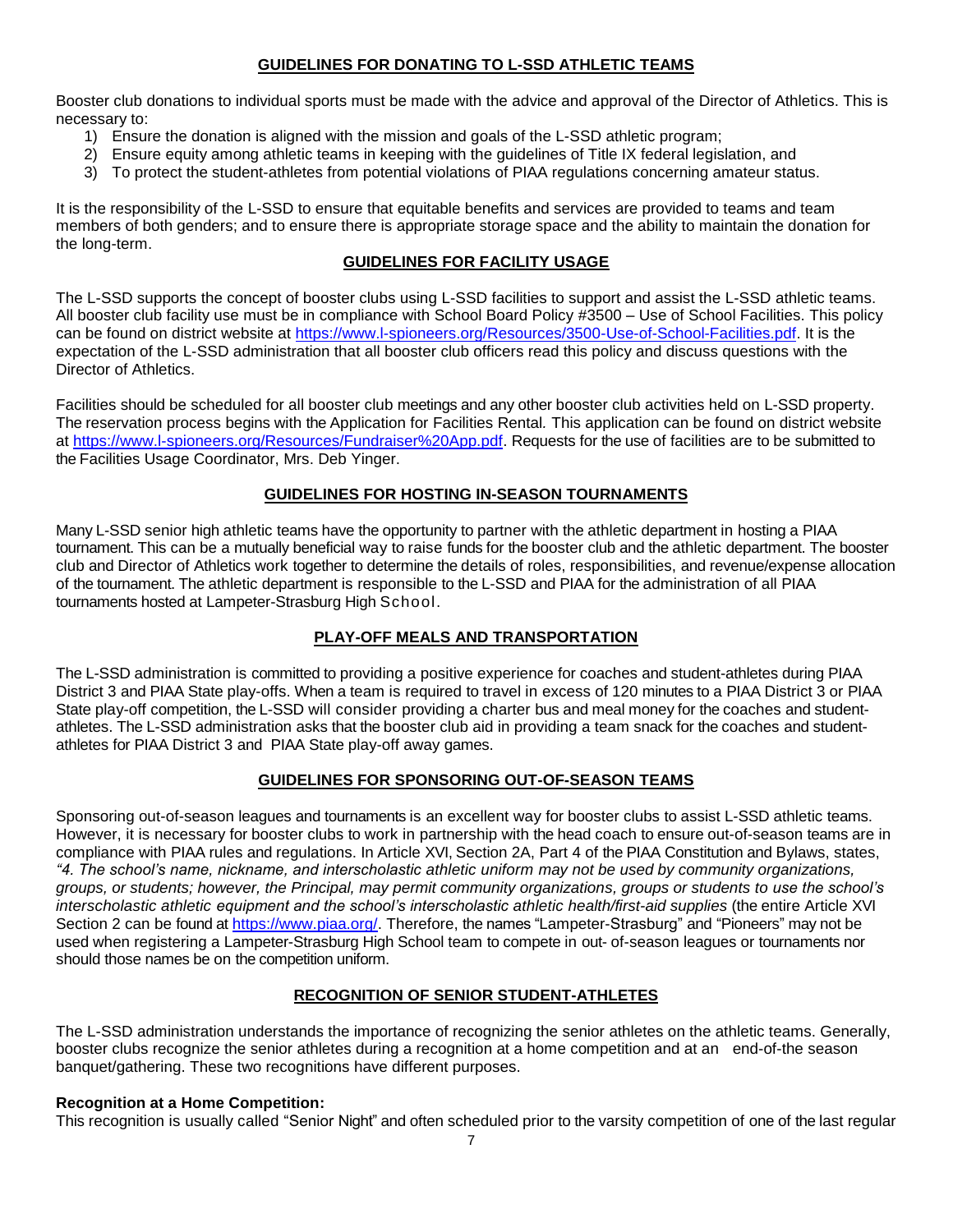# **GUIDELINES FOR DONATING TO L-SSD ATHLETIC TEAMS**

Booster club donations to individual sports must be made with the advice and approval of the Director of Athletics. This is necessary to:

- 1) Ensure the donation is aligned with the mission and goals of the L-SSD athletic program;
- 2) Ensure equity among athletic teams in keeping with the guidelines of Title IX federal legislation, and
- 3) To protect the student-athletes from potential violations of PIAA regulations concerning amateur status.

It is the responsibility of the L-SSD to ensure that equitable benefits and services are provided to teams and team members of both genders; and to ensure there is appropriate storage space and the ability to maintain the donation for the long-term.

## **GUIDELINES FOR FACILITY USAGE**

The L-SSD supports the concept of booster clubs using L-SSD facilities to support and assist the L-SSD athletic teams. All booster club facility use must be in compliance with School Board Policy #3500 – Use of School Facilities. This policy can be found on district website at [https://www.l-spioneers.org/Resources/3500-Use-of-School-Facilities.pdf.](https://www.l-spioneers.org/Resources/3500-Use-of-School-Facilities.pdf) It is the expectation of the L-SSD administration that all booster club officers read this policy and discuss questions with the Director of Athletics.

Facilities should be scheduled for all booster club meetings and any other booster club activities held on L-SSD property. The reservation process begins with the Application for Facilities Rental*.* This application can be found on district website at [https://www.l-spioneers.org/Resources/Fundraiser%20App.pdf.](https://www.l-spioneers.org/Resources/Fundraiser%20App.pdf) Requests for the use of facilities are to be submitted to the Facilities Usage Coordinator, Mrs. Deb Yinger.

## **GUIDELINES FOR HOSTING IN-SEASON TOURNAMENTS**

Many L-SSD senior high athletic teams have the opportunity to partner with the athletic department in hosting a PIAA tournament. This can be a mutually beneficial way to raise funds for the booster club and the athletic department. The booster club and Director of Athletics work together to determine the details of roles, responsibilities, and revenue/expense allocation of the tournament. The athletic department is responsible to the L-SSD and PIAA for the administration of all PIAA tournaments hosted at Lampeter-Strasburg High School.

## **PLAY-OFF MEALS AND TRANSPORTATION**

The L-SSD administration is committed to providing a positive experience for coaches and student-athletes during PIAA District 3 and PIAA State play-offs. When a team is required to travel in excess of 120 minutes to a PIAA District 3 or PIAA State play-off competition, the L-SSD will consider providing a charter bus and meal money for the coaches and studentathletes. The L-SSD administration asks that the booster club aid in providing a team snack for the coaches and studentathletes for PIAA District 3 and PIAA State play-off away games.

## **GUIDELINES FOR SPONSORING OUT-OF-SEASON TEAMS**

Sponsoring out-of-season leagues and tournaments is an excellent way for booster clubs to assist L-SSD athletic teams. However, it is necessary for booster clubs to work in partnership with the head coach to ensure out-of-season teams are in compliance with PIAA rules and regulation[s. In](http://www.piaa.org/assets/web/documents/Handbook%20-%20Section%20I%20-%20Constitution%20and%20By-laws.pdf) [Article XVI, Section 2A, Part 4 of the PIAA Constitution and Bylaws,](http://www.piaa.org/assets/web/documents/Handbook%20-%20Section%20I%20-%20Constitution%20and%20By-laws.pdf) states, *"4. The school's name, nickname, and interscholastic athletic uniform may not be used by community organizations, groups, or students; however, the Principal, may permit community organizations, groups or students to use the school's interscholastic athletic equipment and the school's interscholastic athletic health/first-aid supplies* (the entire Article XVI Section 2 can be found at [https://www.piaa.org/.](https://www.piaa.org/) Therefore, the names "Lampeter-Strasburg" and "Pioneers" may not be used when registering a Lampeter-Strasburg High School team to compete in out- of-season leagues or tournaments nor should those names be on the competition uniform.

## **RECOGNITION OF SENIOR STUDENT-ATHLETES**

The L-SSD administration understands the importance of recognizing the senior athletes on the athletic teams. Generally, booster clubs recognize the senior athletes during a recognition at a home competition and at an end-of-the season banquet/gathering. These two recognitions have different purposes.

## **Recognition at a Home Competition:**

This recognition is usually called "Senior Night" and often scheduled prior to the varsity competition of one of the last regular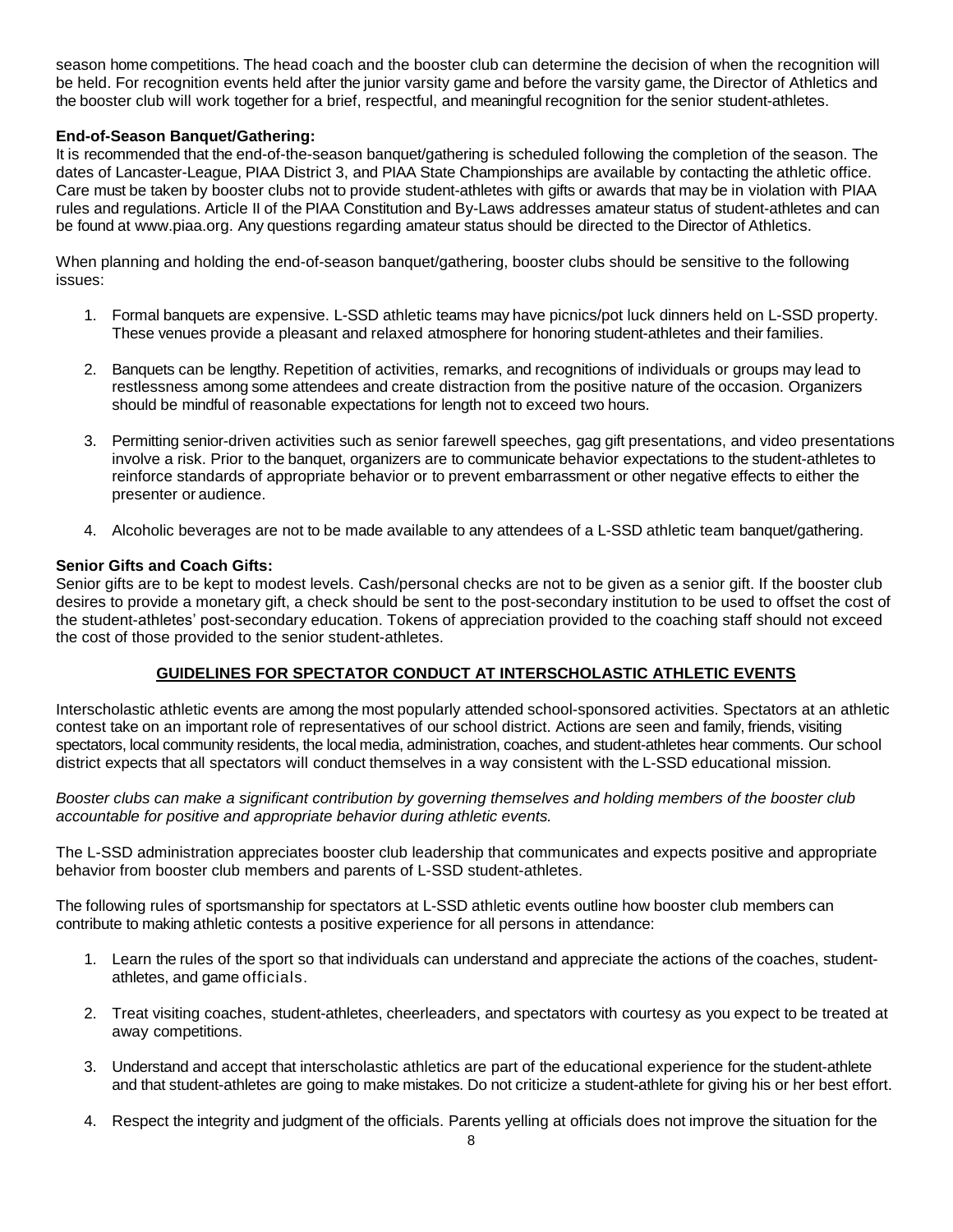season home competitions. The head coach and the booster club can determine the decision of when the recognition will be held. For recognition events held after the junior varsity game and before the varsity game, the Director of Athletics and the booster club will work together for a brief, respectful, and meaningful recognition for the senior student-athletes.

## **End-of-Season Banquet/Gathering:**

It is recommended that the end-of-the-season banquet/gathering is scheduled following the completion of the season. The dates of Lancaster-League, PIAA District 3, and PIAA State Championships are available by contacting the athletic office. Care must be taken by booster clubs not to provide student-athletes with gifts or awards that may be in violation with PIAA rules and regulations[. Article II of the PIAA Constitution and By-Laws](http://www.piaa.org/assets/web/documents/Handbook%20-%20Section%20I%20-%20Constitution%20and%20By-laws.pdf) addresses amateur status of student-athletes and can be found at [www.piaa.org.](http://www.piaa.org/) Any questions regarding amateur status should be directed to the Director of Athletics.

When planning and holding the end-of-season banquet/gathering, booster clubs should be sensitive to the following issues:

- 1. Formal banquets are expensive. L-SSD athletic teams may have picnics/pot luck dinners held on L-SSD property. These venues provide a pleasant and relaxed atmosphere for honoring student-athletes and their families.
- 2. Banquets can be lengthy. Repetition of activities, remarks, and recognitions of individuals or groups may lead to restlessness among some attendees and create distraction from the positive nature of the occasion. Organizers should be mindful of reasonable expectations for length not to exceed two hours.
- 3. Permitting senior-driven activities such as senior farewell speeches, gag gift presentations, and video presentations involve a risk. Prior to the banquet, organizers are to communicate behavior expectations to the student-athletes to reinforce standards of appropriate behavior or to prevent embarrassment or other negative effects to either the presenter or audience.
- 4. Alcoholic beverages are not to be made available to any attendees of a L-SSD athletic team banquet/gathering.

#### **Senior Gifts and Coach Gifts:**

Senior gifts are to be kept to modest levels. Cash/personal checks are not to be given as a senior gift. If the booster club desires to provide a monetary gift, a check should be sent to the post-secondary institution to be used to offset the cost of the student-athletes' post-secondary education. Tokens of appreciation provided to the coaching staff should not exceed the cost of those provided to the senior student-athletes.

#### **GUIDELINES FOR SPECTATOR CONDUCT AT INTERSCHOLASTIC ATHLETIC EVENTS**

Interscholastic athletic events are among the most popularly attended school-sponsored activities. Spectators at an athletic contest take on an important role of representatives of our school district. Actions are seen and family, friends, visiting spectators, local community residents, the local media, administration, coaches, and student-athletes hear comments. Our school district expects that all spectators will conduct themselves in a way consistent with the L-SSD educational mission.

*Booster clubs can make a significant contribution by governing themselves and holding members of the booster club accountable for positive and appropriate behavior during athletic events.* 

The L-SSD administration appreciates booster club leadership that communicates and expects positive and appropriate behavior from booster club members and parents of L-SSD student-athletes.

The following rules of sportsmanship for spectators at L-SSD athletic events outline how booster club members can contribute to making athletic contests a positive experience for all persons in attendance:

- 1. Learn the rules of the sport so that individuals can understand and appreciate the actions of the coaches, studentathletes, and game officials.
- 2. Treat visiting coaches, student-athletes, cheerleaders, and spectators with courtesy as you expect to be treated at away competitions.
- 3. Understand and accept that interscholastic athletics are part of the educational experience for the student-athlete and that student-athletes are going to make mistakes. Do not criticize a student-athlete for giving his or her best effort.
- 4. Respect the integrity and judgment of the officials. Parents yelling at officials does not improve the situation for the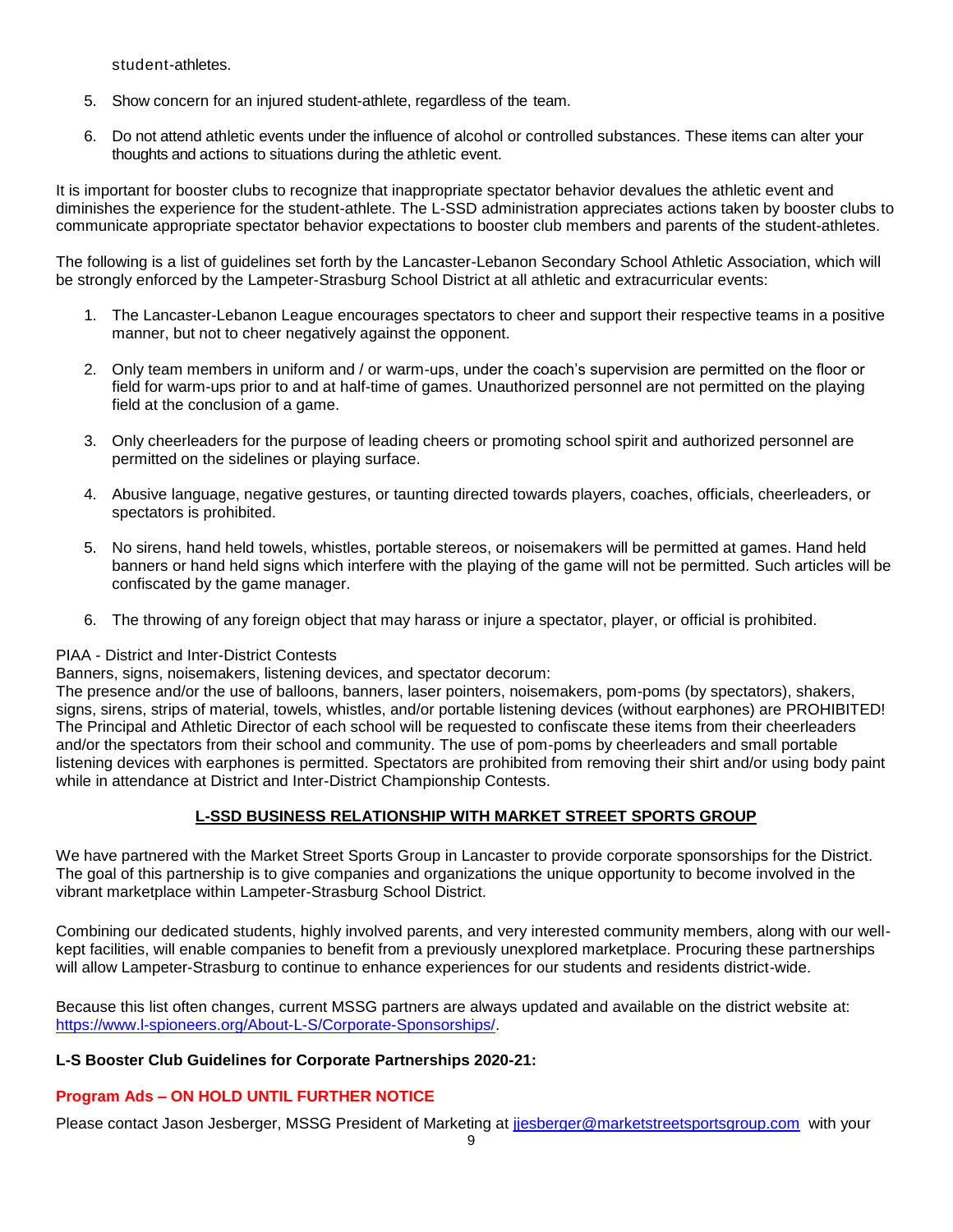student-athletes.

- 5. Show concern for an injured student-athlete, regardless of the team.
- 6. Do not attend athletic events under the influence of alcohol or controlled substances. These items can alter your thoughts and actions to situations during the athletic event.

It is important for booster clubs to recognize that inappropriate spectator behavior devalues the athletic event and diminishes the experience for the student-athlete. The L-SSD administration appreciates actions taken by booster clubs to communicate appropriate spectator behavior expectations to booster club members and parents of the student-athletes.

The following is a list of guidelines set forth by the Lancaster-Lebanon Secondary School Athletic Association, which will be strongly enforced by the Lampeter-Strasburg School District at all athletic and extracurricular events:

- 1. The Lancaster-Lebanon League encourages spectators to cheer and support their respective teams in a positive manner, but not to cheer negatively against the opponent.
- 2. Only team members in uniform and / or warm-ups, under the coach's supervision are permitted on the floor or field for warm-ups prior to and at half-time of games. Unauthorized personnel are not permitted on the playing field at the conclusion of a game.
- 3. Only cheerleaders for the purpose of leading cheers or promoting school spirit and authorized personnel are permitted on the sidelines or playing surface.
- 4. Abusive language, negative gestures, or taunting directed towards players, coaches, officials, cheerleaders, or spectators is prohibited.
- 5. No sirens, hand held towels, whistles, portable stereos, or noisemakers will be permitted at games. Hand held banners or hand held signs which interfere with the playing of the game will not be permitted. Such articles will be confiscated by the game manager.
- 6. The throwing of any foreign object that may harass or injure a spectator, player, or official is prohibited.

#### PIAA - District and Inter-District Contests

Banners, signs, noisemakers, listening devices, and spectator decorum:

The presence and/or the use of balloons, banners, laser pointers, noisemakers, pom-poms (by spectators), shakers, signs, sirens, strips of material, towels, whistles, and/or portable listening devices (without earphones) are PROHIBITED! The Principal and Athletic Director of each school will be requested to confiscate these items from their cheerleaders and/or the spectators from their school and community. The use of pom-poms by cheerleaders and small portable listening devices with earphones is permitted. Spectators are prohibited from removing their shirt and/or using body paint while in attendance at District and Inter-District Championship Contests.

## **L-SSD BUSINESS RELATIONSHIP WITH MARKET STREET SPORTS GROUP**

We have partnered with the Market Street Sports Group in Lancaster to provide corporate sponsorships for the District. The goal of this partnership is to give companies and organizations the unique opportunity to become involved in the vibrant marketplace within Lampeter-Strasburg School District.

Combining our dedicated students, highly involved parents, and very interested community members, along with our wellkept facilities, will enable companies to benefit from a previously unexplored marketplace. Procuring these partnerships will allow Lampeter-Strasburg to continue to enhance experiences for our students and residents district-wide.

Because this list often changes, current MSSG partners are always updated and available on the district website at: [https://www.l-spioneers.org/About-L-S/Corporate-Sponsorships/.](https://www.l-spioneers.org/About-L-S/Corporate-Sponsorships/)

## **L-S Booster Club Guidelines for Corporate Partnerships 2020-21:**

## **Program Ads – ON HOLD UNTIL FURTHER NOTICE**

Please contact Jason Jesberger, MSSG President of Marketing at [jjesberger@marketstreetsportsgroup.com](mailto:jjesberger@marketstreetsportsgroup.com) with your